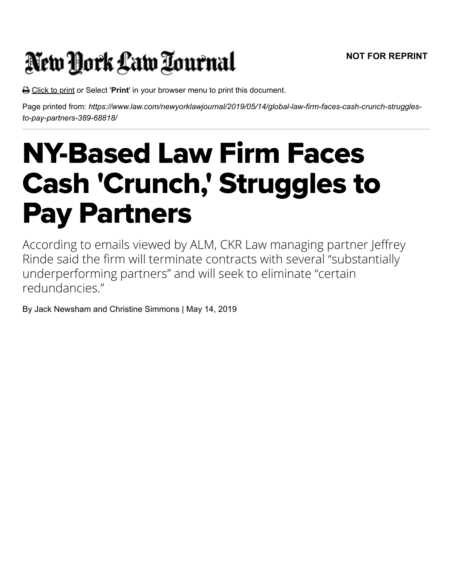## New York Law Tournal

Click to print or Select '**Print**' in your browser menu to print this document.

Page printed from: *https://www.law.com/newyorklawjournal/2019/05/14/global-law-firm-faces-cash-crunch-strugglesto-pay-partners-389-68818/*

## NY-Based Law Firm Faces Cash 'Crunch,' Struggles to Pay Partners

According to emails viewed by ALM, CKR Law managing partner Jeffrey Rinde said the firm will terminate contracts with several "substantially underperforming partners" and will seek to eliminate "certain redundancies."

By Jack Newsham and Christine Simmons | May 14, 2019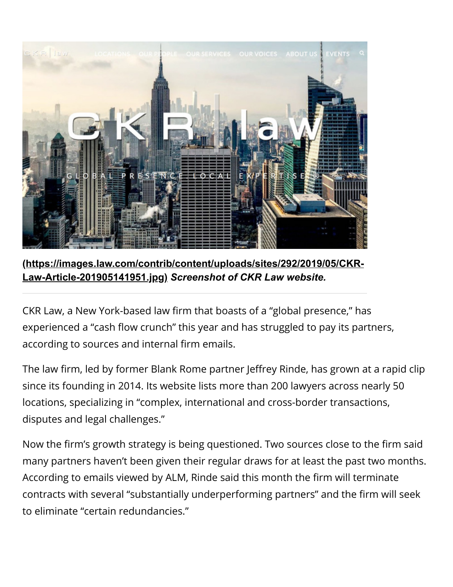

**[\(https://images.law.com/contrib/content/uploads/sites/292/2019/05/CKR-](https://images.law.com/contrib/content/uploads/sites/292/2019/05/CKR-Law-Article-201905141951.jpg)Law-Article-201905141951.jpg)** *Screenshot of CKR Law website.*

CKR Law, a New York-based law firm that boasts of a "global presence," has experienced a "cash flow crunch" this year and has struggled to pay its partners, according to sources and internal firm emails.

The law firm, led by former Blank Rome partner Jeffrey Rinde, has grown at a rapid clip since its founding in 2014. Its website lists more than 200 lawyers across nearly 50 locations, specializing in "complex, international and cross-border transactions, disputes and legal challenges."

Now the firm's growth strategy is being questioned. Two sources close to the firm said many partners haven't been given their regular draws for at least the past two months. According to emails viewed by ALM, Rinde said this month the firm will terminate contracts with several "substantially underperforming partners" and the firm will seek to eliminate "certain redundancies."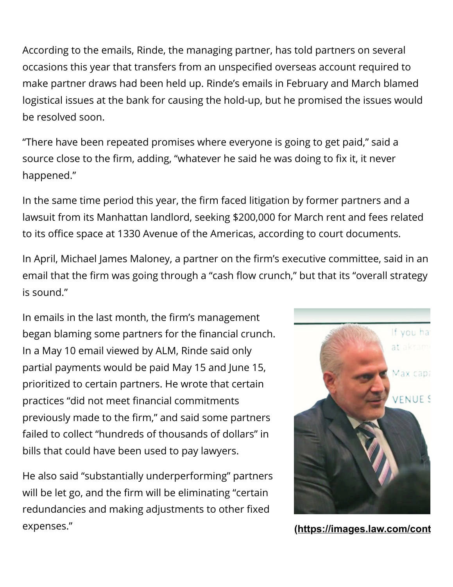According to the emails, Rinde, the managing partner, has told partners on several occasions this year that transfers from an unspecified overseas account required to make partner draws had been held up. Rinde's emails in February and March blamed logistical issues at the bank for causing the hold-up, but he promised the issues would be resolved soon.

"There have been repeated promises where everyone is going to get paid," said a source close to the firm, adding, "whatever he said he was doing to fix it, it never happened."

In the same time period this year, the firm faced litigation by former partners and a lawsuit from its Manhattan landlord, seeking \$200,000 for March rent and fees related to its office space at 1330 Avenue of the Americas, according to court documents.

In April, Michael James Maloney, a partner on the firm's executive committee, said in an email that the firm was going through a "cash flow crunch," but that its "overall strategy is sound."

In emails in the last month, the firm's management began blaming some partners for the financial crunch. In a May 10 email viewed by ALM, Rinde said only partial payments would be paid May 15 and June 15, prioritized to certain partners. He wrote that certain practices "did not meet financial commitments previously made to the firm," and said some partners failed to collect "hundreds of thousands of dollars" in bills that could have been used to pay lawyers.

He also said "substantially underperforming" partners will be let go, and the firm will be eliminating "certain redundancies and making adjustments to other fixed expenses."



**[\(https://images.law.com/cont](https://images.law.com/contrib/content/uploads/sites/292/2019/05/Jeffrey-Rinde-Vert-201905141951.jpg)**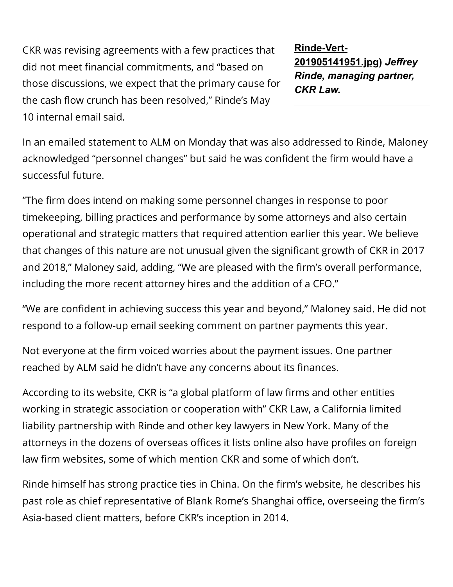CKR was revising agreements with a few practices that did not meet financial commitments, and "based on those discussions, we expect that the primary cause for the cash flow crunch has been resolved," Rinde's May 10 internal email said.

**Rinde-Vert-[201905141951.jpg\)](https://images.law.com/contrib/content/uploads/sites/292/2019/05/Jeffrey-Rinde-Vert-201905141951.jpg)** *Jeffrey Rinde, managing partner, CKR Law.*

In an emailed statement to ALM on Monday that was also addressed to Rinde, Maloney acknowledged "personnel changes" but said he was confident the firm would have a successful future.

"The firm does intend on making some personnel changes in response to poor timekeeping, billing practices and performance by some attorneys and also certain operational and strategic matters that required attention earlier this year. We believe that changes of this nature are not unusual given the significant growth of CKR in 2017 and 2018," Maloney said, adding, "We are pleased with the firm's overall performance, including the more recent attorney hires and the addition of a CFO."

"We are confident in achieving success this year and beyond," Maloney said. He did not respond to a follow-up email seeking comment on partner payments this year.

Not everyone at the firm voiced worries about the payment issues. One partner reached by ALM said he didn't have any concerns about its finances.

According to its website, CKR is "a global platform of law firms and other entities working in strategic association or cooperation with" CKR Law, a California limited liability partnership with Rinde and other key lawyers in New York. Many of the attorneys in the dozens of overseas offices it lists online also have profiles on foreign law firm websites, some of which mention CKR and some of which don't.

Rinde himself has strong practice ties in China. On the firm's website, he describes his past role as chief representative of Blank Rome's Shanghai office, overseeing the firm's Asia-based client matters, before CKR's inception in 2014.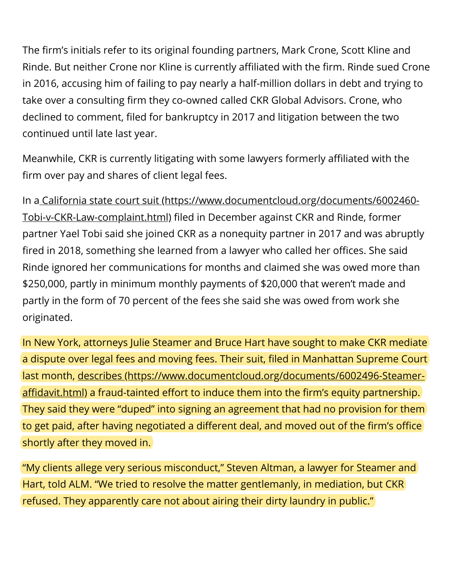The firm's initials refer to its original founding partners, Mark Crone, Scott Kline and Rinde. But neither Crone nor Kline is currently affiliated with the firm. Rinde sued Crone in 2016, accusing him of failing to pay nearly a half-million dollars in debt and trying to take over a consulting firm they co-owned called CKR Global Advisors. Crone, who declined to comment, filed for bankruptcy in 2017 and litigation between the two continued until late last year.

Meanwhile, CKR is currently litigating with some lawyers formerly affiliated with the firm over pay and shares of client legal fees.

[In a California state court suit \(https://www.documentcloud.org/documents/6002460-](https://www.documentcloud.org/documents/6002460-Tobi-v-CKR-Law-complaint.html) Tobi-v-CKR-Law-complaint.html) filed in December against CKR and Rinde, former partner Yael Tobi said she joined CKR as a nonequity partner in 2017 and was abruptly fired in 2018, something she learned from a lawyer who called her offices. She said Rinde ignored her communications for months and claimed she was owed more than \$250,000, partly in minimum monthly payments of \$20,000 that weren't made and partly in the form of 70 percent of the fees she said she was owed from work she originated.

In New York, attorneys Julie Steamer and Bruce Hart have sought to make CKR mediate a dispute over legal fees and moving fees. Their suit, filed in Manhattan Supreme Court [last month, describes \(https://www.documentcloud.org/documents/6002496-Steamer](https://www.documentcloud.org/documents/6002496-Steamer-affidavit.html)affidavit.html) a fraud-tainted effort to induce them into the firm's equity partnership. They said they were "duped" into signing an agreement that had no provision for them to get paid, after having negotiated a different deal, and moved out of the firm's office shortly after they moved in.

"My clients allege very serious misconduct," Steven Altman, a lawyer for Steamer and Hart, told ALM. "We tried to resolve the matter gentlemanly, in mediation, but CKR refused. They apparently care not about airing their dirty laundry in public."